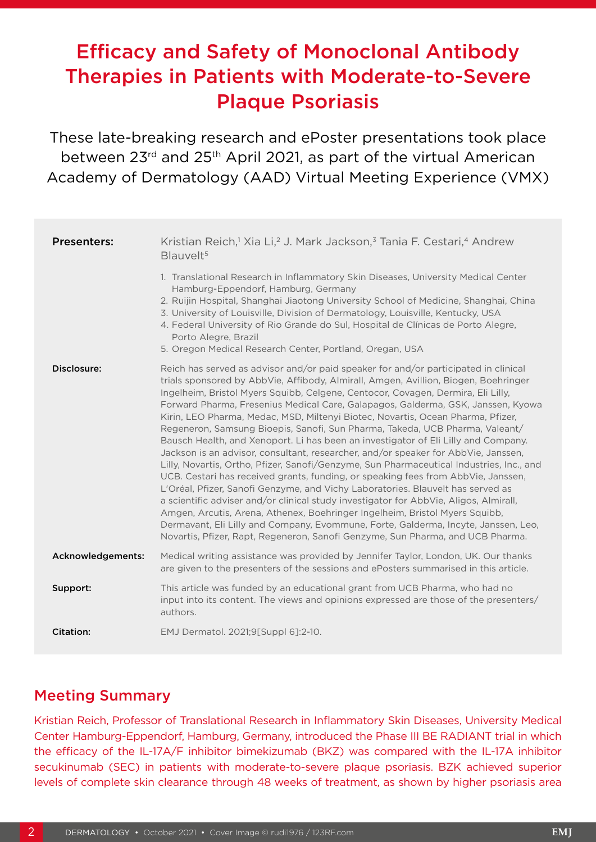# Efficacy and Safety of Monoclonal Antibody Therapies in Patients with Moderate-to-Severe Plaque Psoriasis

These late-breaking research and ePoster presentations took place between 23rd and 25th April 2021, as part of the virtual American Academy of Dermatology (AAD) Virtual Meeting Experience (VMX)

| <b>Presenters:</b> | Kristian Reich, <sup>1</sup> Xia Li, <sup>2</sup> J. Mark Jackson, <sup>3</sup> Tania F. Cestari, <sup>4</sup> Andrew<br>Blauvelt <sup>5</sup>                                                                                                                                                                                                                                                                                                                                                                                                                                                                                                                                                                                                                                                                                                                                                                                                                                                                                                                                                                                                                                                                                                                                                                        |
|--------------------|-----------------------------------------------------------------------------------------------------------------------------------------------------------------------------------------------------------------------------------------------------------------------------------------------------------------------------------------------------------------------------------------------------------------------------------------------------------------------------------------------------------------------------------------------------------------------------------------------------------------------------------------------------------------------------------------------------------------------------------------------------------------------------------------------------------------------------------------------------------------------------------------------------------------------------------------------------------------------------------------------------------------------------------------------------------------------------------------------------------------------------------------------------------------------------------------------------------------------------------------------------------------------------------------------------------------------|
|                    | 1. Translational Research in Inflammatory Skin Diseases, University Medical Center<br>Hamburg-Eppendorf, Hamburg, Germany<br>2. Ruijin Hospital, Shanghai Jiaotong University School of Medicine, Shanghai, China<br>3. University of Louisville, Division of Dermatology, Louisville, Kentucky, USA<br>4. Federal University of Rio Grande do Sul, Hospital de Clínicas de Porto Alegre,<br>Porto Alegre, Brazil<br>5. Oregon Medical Research Center, Portland, Oregan, USA                                                                                                                                                                                                                                                                                                                                                                                                                                                                                                                                                                                                                                                                                                                                                                                                                                         |
| Disclosure:        | Reich has served as advisor and/or paid speaker for and/or participated in clinical<br>trials sponsored by AbbVie, Affibody, Almirall, Amgen, Avillion, Biogen, Boehringer<br>Ingelheim, Bristol Myers Squibb, Celgene, Centocor, Covagen, Dermira, Eli Lilly,<br>Forward Pharma, Fresenius Medical Care, Galapagos, Galderma, GSK, Janssen, Kyowa<br>Kirin, LEO Pharma, Medac, MSD, Miltenyi Biotec, Novartis, Ocean Pharma, Pfizer,<br>Regeneron, Samsung Bioepis, Sanofi, Sun Pharma, Takeda, UCB Pharma, Valeant/<br>Bausch Health, and Xenoport. Li has been an investigator of Eli Lilly and Company.<br>Jackson is an advisor, consultant, researcher, and/or speaker for AbbVie, Janssen,<br>Lilly, Novartis, Ortho, Pfizer, Sanofi/Genzyme, Sun Pharmaceutical Industries, Inc., and<br>UCB. Cestari has received grants, funding, or speaking fees from AbbVie, Janssen,<br>L'Oréal, Pfizer, Sanofi Genzyme, and Vichy Laboratories. Blauvelt has served as<br>a scientific adviser and/or clinical study investigator for AbbVie, Aligos, Almirall,<br>Amgen, Arcutis, Arena, Athenex, Boehringer Ingelheim, Bristol Myers Squibb,<br>Dermavant, Eli Lilly and Company, Evommune, Forte, Galderma, Incyte, Janssen, Leo,<br>Novartis, Pfizer, Rapt, Regeneron, Sanofi Genzyme, Sun Pharma, and UCB Pharma. |
| Acknowledgements:  | Medical writing assistance was provided by Jennifer Taylor, London, UK. Our thanks<br>are given to the presenters of the sessions and ePosters summarised in this article.                                                                                                                                                                                                                                                                                                                                                                                                                                                                                                                                                                                                                                                                                                                                                                                                                                                                                                                                                                                                                                                                                                                                            |
| Support:           | This article was funded by an educational grant from UCB Pharma, who had no<br>input into its content. The views and opinions expressed are those of the presenters/<br>authors.                                                                                                                                                                                                                                                                                                                                                                                                                                                                                                                                                                                                                                                                                                                                                                                                                                                                                                                                                                                                                                                                                                                                      |
| <b>Citation:</b>   | EMJ Dermatol. 2021;9[Suppl 6]:2-10.                                                                                                                                                                                                                                                                                                                                                                                                                                                                                                                                                                                                                                                                                                                                                                                                                                                                                                                                                                                                                                                                                                                                                                                                                                                                                   |

### Meeting Summary

Kristian Reich, Professor of Translational Research in Inflammatory Skin Diseases, University Medical Center Hamburg-Eppendorf, Hamburg, Germany, introduced the Phase III BE RADIANT trial in which the efficacy of the IL-17A/F inhibitor bimekizumab (BKZ) was compared with the IL-17A inhibitor secukinumab (SEC) in patients with moderate-to-severe plaque psoriasis. BZK achieved superior levels of complete skin clearance through 48 weeks of treatment, as shown by higher psoriasis area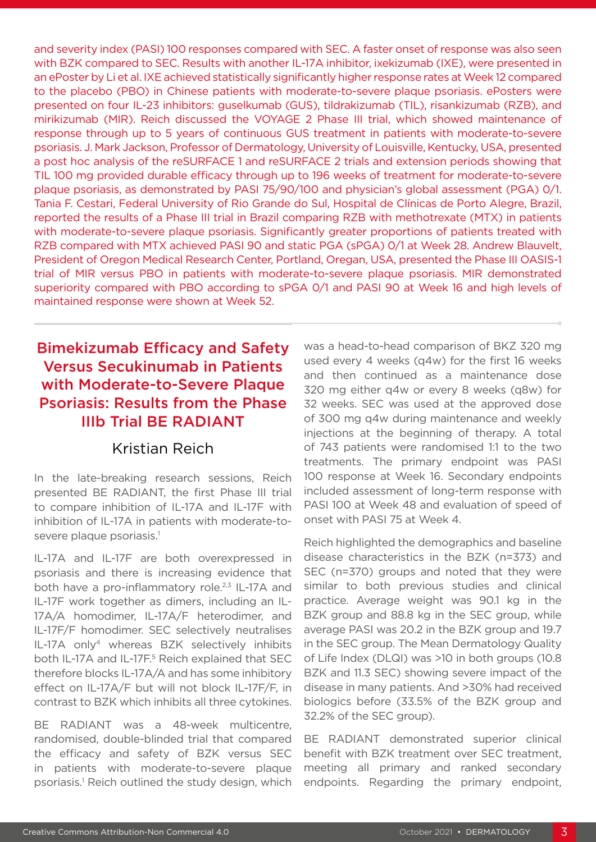and severity index (PASI) 100 responses compared with SEC. A faster onset of response was also seen with BZK compared to SEC. Results with another IL-17A inhibitor, ixekizumab (IXE), were presented in an ePoster by Li et al. IXE achieved statistically significantly higher response rates at Week 12 compared to the placebo (PBO) in Chinese patients with moderate-to-severe plaque psoriasis. ePosters were presented on four IL-23 inhibitors: guselkumab (GUS), tildrakizumab (TIL), risankizumab (RZB), and mirikizumab (MIR). Reich discussed the VOYAGE 2 Phase III trial, which showed maintenance of response through up to 5 years of continuous GUS treatment in patients with moderate-to-severe psoriasis. J. Mark Jackson, Professor of Dermatology, University of Louisville, Kentucky, USA, presented a post hoc analysis of the reSURFACE 1 and reSURFACE 2 trials and extension periods showing that TIL 100 mg provided durable efficacy through up to 196 weeks of treatment for moderate-to-severe plaque psoriasis, as demonstrated by PASI 75/90/100 and physician's global assessment (PGA) 0/1. Tania F. Cestari, Federal University of Rio Grande do Sul, Hospital de Clínicas de Porto Alegre, Brazil, reported the results of a Phase III trial in Brazil comparing RZB with methotrexate (MTX) in patients with moderate-to-severe plaque psoriasis. Significantly greater proportions of patients treated with RZB compared with MTX achieved PASI 90 and static PGA (sPGA) 0/1 at Week 28. Andrew Blauvelt, President of Oregon Medical Research Center, Portland, Oregan, USA, presented the Phase III OASIS-1 trial of MIR versus PBO in patients with moderate-to-severe plaque psoriasis. MIR demonstrated superiority compared with PBO according to sPGA 0/1 and PASI 90 at Week 16 and high levels of maintained response were shown at Week 52.

# Bimekizumab Efficacy and Safety Versus Secukinumab in Patients with Moderate-to-Severe Plaque Psoriasis: Results from the Phase IIIb Trial BE RADIANT

### Kristian Reich

In the late-breaking research sessions, Reich presented BE RADIANT, the first Phase III trial to compare inhibition of IL-17A and IL-17F with inhibition of IL-17A in patients with moderate-tosevere plaque psoriasis.<sup>1</sup>

IL-17A and IL-17F are both overexpressed in psoriasis and there is increasing evidence that both have a pro-inflammatory role.<sup>2,3</sup> IL-17A and IL-17F work together as dimers, including an IL-17A/A homodimer, IL-17A/F heterodimer, and IL-17F/F homodimer. SEC selectively neutralises IL-17A only4 whereas BZK selectively inhibits both IL-17A and IL-17F.<sup>5</sup> Reich explained that SEC therefore blocks IL-17A/A and has some inhibitory effect on IL-17A/F but will not block IL-17F/F, in contrast to BZK which inhibits all three cytokines.

BE RADIANT was a 48-week multicentre, randomised, double-blinded trial that compared the efficacy and safety of BZK versus SEC in patients with moderate-to-severe plaque psoriasis.<sup>1</sup> Reich outlined the study design, which was a head-to-head comparison of BKZ 320 mg used every 4 weeks (q4w) for the first 16 weeks and then continued as a maintenance dose 320 mg either q4w or every 8 weeks (q8w) for 32 weeks. SEC was used at the approved dose of 300 mg q4w during maintenance and weekly injections at the beginning of therapy. A total of 743 patients were randomised 1:1 to the two treatments. The primary endpoint was PASI 100 response at Week 16. Secondary endpoints included assessment of long-term response with PASI 100 at Week 48 and evaluation of speed of onset with PASI 75 at Week 4.

Reich highlighted the demographics and baseline disease characteristics in the BZK (n=373) and SEC (n=370) groups and noted that they were similar to both previous studies and clinical practice. Average weight was 90.1 kg in the BZK group and 88.8 kg in the SEC group, while average PASI was 20.2 in the BZK group and 19.7 in the SEC group. The Mean Dermatology Quality of Life Index (DLQI) was >10 in both groups (10.8 BZK and 11.3 SEC) showing severe impact of the disease in many patients. And >30% had received biologics before (33.5% of the BZK group and 32.2% of the SEC group).

BE RADIANT demonstrated superior clinical benefit with BZK treatment over SEC treatment, meeting all primary and ranked secondary endpoints. Regarding the primary endpoint,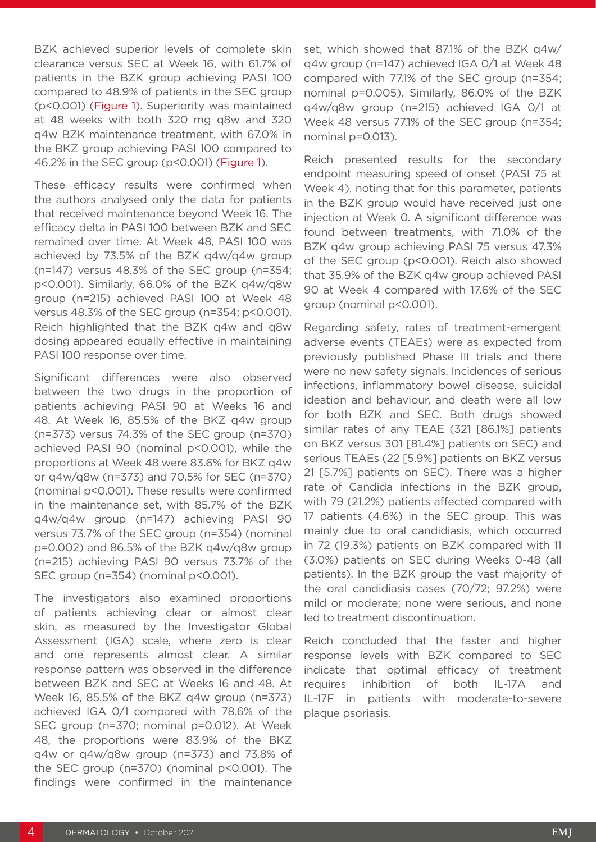BZK achieved superior levels of complete skin clearance versus SEC at Week 16, with 61.7% of patients in the BZK group achieving PASI 100 compared to 48.9% of patients in the SEC group (p<0.001) (Figure 1). Superiority was maintained at 48 weeks with both 320 mg q8w and 320 q4w BZK maintenance treatment, with 67.0% in the BKZ group achieving PASI 100 compared to 46.2% in the SEC group (p<0.001) (Figure 1).

These efficacy results were confirmed when the authors analysed only the data for patients that received maintenance beyond Week 16. The efficacy delta in PASI 100 between BZK and SEC remained over time. At Week 48, PASI 100 was achieved by 73.5% of the BZK q4w/q4w group (n=147) versus 48.3% of the SEC group (n=354; p<0.001). Similarly, 66.0% of the BZK q4w/q8w group (n=215) achieved PASI 100 at Week 48 versus 48.3% of the SEC group (n=354; p<0.001). Reich highlighted that the BZK q4w and q8w dosing appeared equally effective in maintaining PASI 100 response over time.

Significant differences were also observed between the two drugs in the proportion of patients achieving PASI 90 at Weeks 16 and 48. At Week 16, 85.5% of the BKZ q4w group (n=373) versus 74.3% of the SEC group (n=370) achieved PASI 90 (nominal p<0.001), while the proportions at Week 48 were 83.6% for BKZ q4w or q4w/q8w (n=373) and 70.5% for SEC (n=370) (nominal p<0.001). These results were confirmed in the maintenance set, with 85.7% of the BZK q4w/q4w group (n=147) achieving PASI 90 versus 73.7% of the SEC group (n=354) (nominal p=0.002) and 86.5% of the BZK q4w/q8w group (n=215) achieving PASI 90 versus 73.7% of the SEC group (n=354) (nominal p<0.001).

The investigators also examined proportions of patients achieving clear or almost clear skin, as measured by the Investigator Global Assessment (IGA) scale, where zero is clear and one represents almost clear. A similar response pattern was observed in the difference between BZK and SEC at Weeks 16 and 48. At Week 16, 85.5% of the BKZ q4w group (n=373) achieved IGA 0/1 compared with 78.6% of the SEC group (n=370; nominal p=0.012). At Week 48, the proportions were 83.9% of the BKZ q4w or q4w/q8w group (n=373) and 73.8% of the SEC group (n=370) (nominal p<0.001). The findings were confirmed in the maintenance

set, which showed that 87.1% of the BZK q4w/ q4w group (n=147) achieved IGA 0/1 at Week 48 compared with 77.1% of the SEC group (n=354; nominal p=0.005). Similarly, 86.0% of the BZK q4w/q8w group (n=215) achieved IGA 0/1 at Week 48 versus 77.1% of the SEC group (n=354; nominal p=0.013).

Reich presented results for the secondary endpoint measuring speed of onset (PASI 75 at Week 4), noting that for this parameter, patients in the BZK group would have received just one injection at Week 0. A significant difference was found between treatments, with 71.0% of the BZK q4w group achieving PASI 75 versus 47.3% of the SEC group (p<0.001). Reich also showed that 35.9% of the BZK q4w group achieved PASI 90 at Week 4 compared with 17.6% of the SEC group (nominal p<0.001).

Regarding safety, rates of treatment-emergent adverse events (TEAEs) were as expected from previously published Phase III trials and there were no new safety signals. Incidences of serious infections, inflammatory bowel disease, suicidal ideation and behaviour, and death were all low for both BZK and SEC. Both drugs showed similar rates of any TEAE (321 [86.1%] patients on BKZ versus 301 [81.4%] patients on SEC) and serious TEAEs (22 [5.9%] patients on BKZ versus 21 [5.7%] patients on SEC). There was a higher rate of Candida infections in the BZK group, with 79 (21.2%) patients affected compared with 17 patients (4.6%) in the SEC group. This was mainly due to oral candidiasis, which occurred in 72 (19.3%) patients on BZK compared with 11 (3.0%) patients on SEC during Weeks 0-48 (all patients). In the BZK group the vast majority of the oral candidiasis cases (70/72; 97.2%) were mild or moderate; none were serious, and none led to treatment discontinuation.

Reich concluded that the faster and higher response levels with BZK compared to SEC indicate that optimal efficacy of treatment requires inhibition of both IL-17A and IL-17F in patients with moderate-to-severe plaque psoriasis.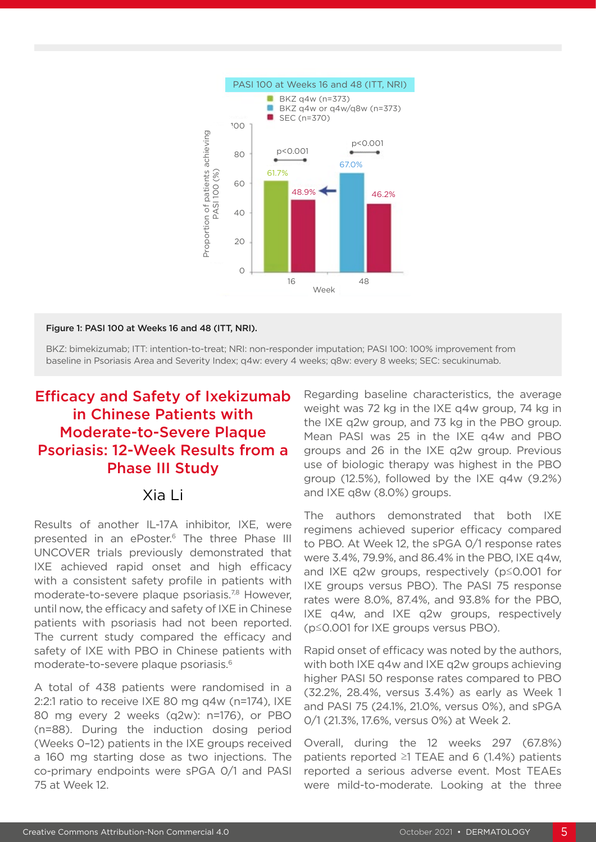

#### Figure 1: PASI 100 at Weeks 16 and 48 (ITT, NRI).

BKZ: bimekizumab; ITT: intention-to-treat; NRI: non-responder imputation; PASI 100: 100% improvement from baseline in Psoriasis Area and Severity Index; q4w: every 4 weeks; q8w: every 8 weeks; SEC: secukinumab.

# Efficacy and Safety of Ixekizumab in Chinese Patients with Moderate-to-Severe Plaque Psoriasis: 12-Week Results from a Phase III Study

#### Xia Li

Results of another IL-17A inhibitor, IXE, were presented in an ePoster.<sup>6</sup> The three Phase III UNCOVER trials previously demonstrated that IXE achieved rapid onset and high efficacy with a consistent safety profile in patients with moderate-to-severe plaque psoriasis.<sup>7,8</sup> However, until now, the efficacy and safety of IXE in Chinese patients with psoriasis had not been reported. The current study compared the efficacy and safety of IXE with PBO in Chinese patients with moderate-to-severe plaque psoriasis.6

A total of 438 patients were randomised in a 2:2:1 ratio to receive IXE 80 mg q4w (n=174), IXE 80 mg every 2 weeks (q2w): n=176), or PBO (n=88). During the induction dosing period (Weeks 0–12) patients in the IXE groups received a 160 mg starting dose as two injections. The co-primary endpoints were sPGA 0/1 and PASI 75 at Week 12.

Regarding baseline characteristics, the average weight was 72 kg in the IXE q4w group, 74 kg in the IXE q2w group, and 73 kg in the PBO group. Mean PASI was 25 in the IXE q4w and PBO groups and 26 in the IXE q2w group. Previous use of biologic therapy was highest in the PBO group (12.5%), followed by the IXE q4w (9.2%) and IXE q8w (8.0%) groups.

The authors demonstrated that both IXE regimens achieved superior efficacy compared to PBO. At Week 12, the sPGA 0/1 response rates were 3.4%, 79.9%, and 86.4% in the PBO, IXE q4w, and IXE q2w groups, respectively (p≤0.001 for IXE groups versus PBO). The PASI 75 response rates were 8.0%, 87.4%, and 93.8% for the PBO, IXE q4w, and IXE q2w groups, respectively (p≤0.001 for IXE groups versus PBO).

Rapid onset of efficacy was noted by the authors, with both IXE q4w and IXE q2w groups achieving higher PASI 50 response rates compared to PBO (32.2%, 28.4%, versus 3.4%) as early as Week 1 and PASI 75 (24.1%, 21.0%, versus 0%), and sPGA 0/1 (21.3%, 17.6%, versus 0%) at Week 2.

Overall, during the 12 weeks 297 (67.8%) patients reported ≥1 TEAE and 6 (1.4%) patients reported a serious adverse event. Most TEAEs were mild-to-moderate. Looking at the three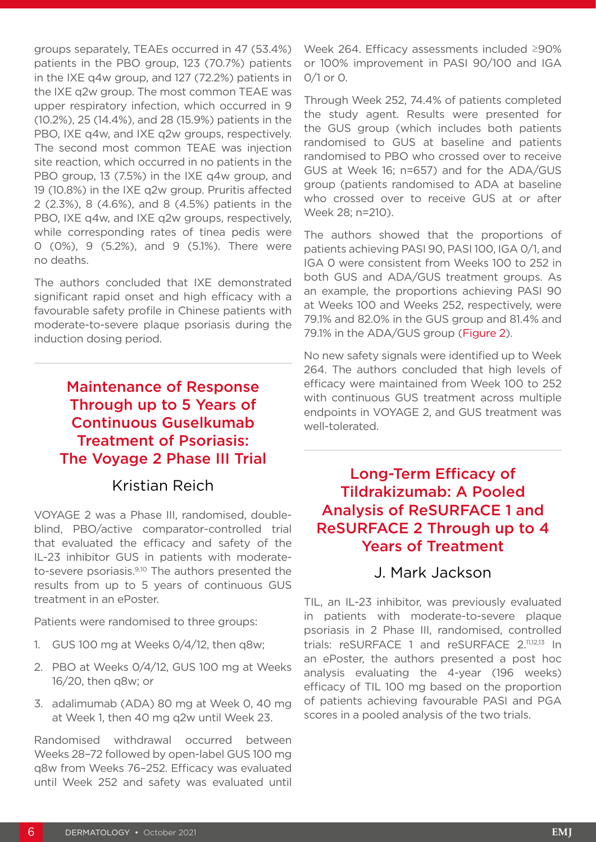groups separately, TEAEs occurred in 47 (53.4%) patients in the PBO group, 123 (70.7%) patients in the IXE q4w group, and 127 (72.2%) patients in the IXE q2w group. The most common TEAE was upper respiratory infection, which occurred in 9 (10.2%), 25 (14.4%), and 28 (15.9%) patients in the PBO, IXE q4w, and IXE q2w groups, respectively. The second most common TEAE was injection site reaction, which occurred in no patients in the PBO group, 13 (7.5%) in the IXE q4w group, and 19 (10.8%) in the IXE q2w group. Pruritis affected 2 (2.3%), 8 (4.6%), and 8 (4.5%) patients in the PBO, IXE q4w, and IXE q2w groups, respectively, while corresponding rates of tinea pedis were 0 (0%), 9 (5.2%), and 9 (5.1%). There were no deaths.

The authors concluded that IXE demonstrated significant rapid onset and high efficacy with a favourable safety profile in Chinese patients with moderate-to-severe plaque psoriasis during the induction dosing period.

# Maintenance of Response Through up to 5 Years of Continuous Guselkumab Treatment of Psoriasis: The Voyage 2 Phase III Trial

### Kristian Reich

VOYAGE 2 was a Phase III, randomised, doubleblind, PBO/active comparator-controlled trial that evaluated the efficacy and safety of the IL-23 inhibitor GUS in patients with moderateto-severe psoriasis.<sup>9,10</sup> The authors presented the results from up to 5 years of continuous GUS treatment in an ePoster.

Patients were randomised to three groups:

- 1. GUS 100 mg at Weeks 0/4/12, then q8w;
- 2. PBO at Weeks 0/4/12, GUS 100 mg at Weeks 16/20, then q8w; or
- 3. adalimumab (ADA) 80 mg at Week 0, 40 mg at Week 1, then 40 mg q2w until Week 23.

Randomised withdrawal occurred between Weeks 28–72 followed by open-label GUS 100 mg q8w from Weeks 76–252. Efficacy was evaluated until Week 252 and safety was evaluated until Week 264. Efficacy assessments included ≥90% or 100% improvement in PASI 90/100 and IGA 0/1 or 0.

Through Week 252, 74.4% of patients completed the study agent. Results were presented for the GUS group (which includes both patients randomised to GUS at baseline and patients randomised to PBO who crossed over to receive GUS at Week 16; n=657) and for the ADA/GUS group (patients randomised to ADA at baseline who crossed over to receive GUS at or after Week 28; n=210).

The authors showed that the proportions of patients achieving PASI 90, PASI 100, IGA 0/1, and IGA 0 were consistent from Weeks 100 to 252 in both GUS and ADA/GUS treatment groups. As an example, the proportions achieving PASI 90 at Weeks 100 and Weeks 252, respectively, were 79.1% and 82.0% in the GUS group and 81.4% and 79.1% in the ADA/GUS group (Figure 2).

No new safety signals were identified up to Week 264. The authors concluded that high levels of efficacy were maintained from Week 100 to 252 with continuous GUS treatment across multiple endpoints in VOYAGE 2, and GUS treatment was well-tolerated.

### Long-Term Efficacy of Tildrakizumab: A Pooled Analysis of ReSURFACE 1 and ReSURFACE 2 Through up to 4 Years of Treatment

#### J. Mark Jackson

TIL, an IL-23 inhibitor, was previously evaluated in patients with moderate-to-severe plaque psoriasis in 2 Phase III, randomised, controlled trials: reSURFACE 1 and reSURFACE 2.11,12,13 In an ePoster, the authors presented a post hoc analysis evaluating the 4-year (196 weeks) efficacy of TIL 100 mg based on the proportion of patients achieving favourable PASI and PGA scores in a pooled analysis of the two trials.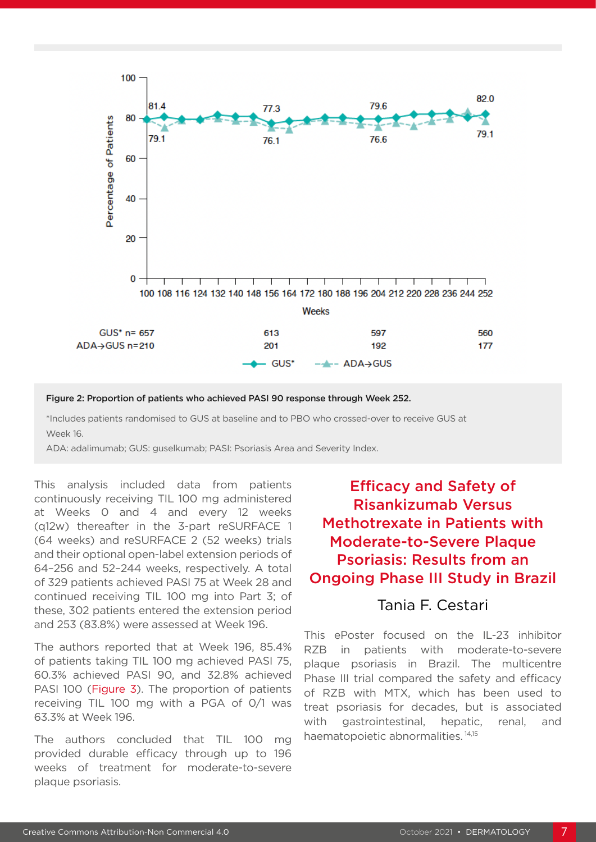

#### Figure 2: Proportion of patients who achieved PASI 90 response through Week 252.

\*Includes patients randomised to GUS at baseline and to PBO who crossed-over to receive GUS at Week 16.

ADA: adalimumab; GUS: guselkumab; PASI: Psoriasis Area and Severity Index.

This analysis included data from patients continuously receiving TIL 100 mg administered at Weeks 0 and 4 and every 12 weeks (q12w) thereafter in the 3-part reSURFACE 1 (64 weeks) and reSURFACE 2 (52 weeks) trials and their optional open-label extension periods of 64–256 and 52–244 weeks, respectively. A total of 329 patients achieved PASI 75 at Week 28 and continued receiving TIL 100 mg into Part 3; of these, 302 patients entered the extension period and 253 (83.8%) were assessed at Week 196.

The authors reported that at Week 196, 85.4% of patients taking TIL 100 mg achieved PASI 75, 60.3% achieved PASI 90, and 32.8% achieved PASI 100 (Figure 3). The proportion of patients receiving TIL 100 mg with a PGA of 0/1 was 63.3% at Week 196.

The authors concluded that TIL 100 mg provided durable efficacy through up to 196 weeks of treatment for moderate-to-severe plaque psoriasis.

## Efficacy and Safety of Risankizumab Versus Methotrexate in Patients with Moderate-to-Severe Plaque Psoriasis: Results from an Ongoing Phase III Study in Brazil

#### Tania F. Cestari

This ePoster focused on the IL-23 inhibitor RZB in patients with moderate-to-severe plaque psoriasis in Brazil. The multicentre Phase III trial compared the safety and efficacy of RZB with MTX, which has been used to treat psoriasis for decades, but is associated with gastrointestinal, hepatic, renal, and haematopoietic abnormalities. 14,15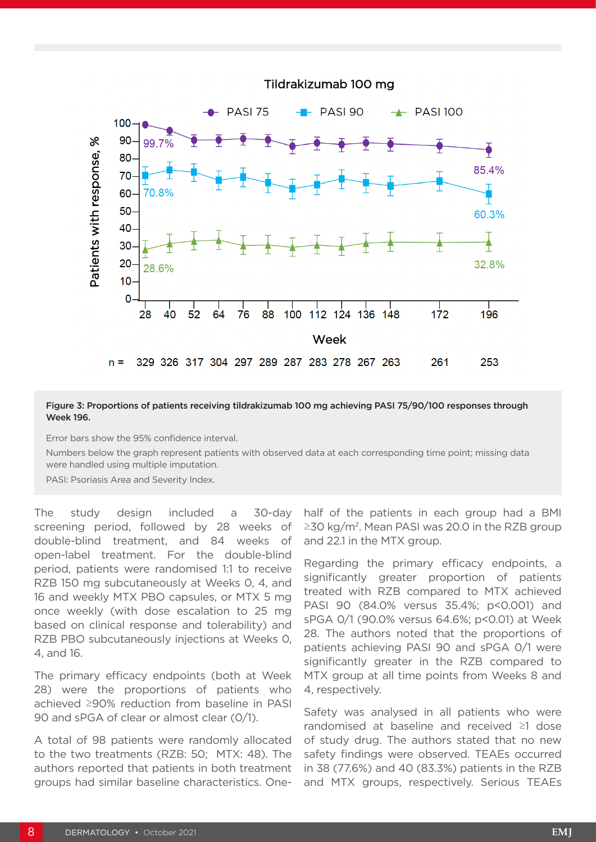

#### Figure 3: Proportions of patients receiving tildrakizumab 100 mg achieving PASI 75/90/100 responses through Week 196.

Error bars show the 95% confidence interval.

Numbers below the graph represent patients with observed data at each corresponding time point; missing data were handled using multiple imputation.

PASI: Psoriasis Area and Severity Index.

The study design included a 30-day screening period, followed by 28 weeks of double-blind treatment, and 84 weeks of open-label treatment. For the double-blind period, patients were randomised 1:1 to receive RZB 150 mg subcutaneously at Weeks 0, 4, and 16 and weekly MTX PBO capsules, or MTX 5 mg once weekly (with dose escalation to 25 mg based on clinical response and tolerability) and RZB PBO subcutaneously injections at Weeks 0, 4, and 16.

The primary efficacy endpoints (both at Week 28) were the proportions of patients who achieved ≥90% reduction from baseline in PASI 90 and sPGA of clear or almost clear (0/1).

A total of 98 patients were randomly allocated to the two treatments (RZB: 50; MTX: 48). The authors reported that patients in both treatment groups had similar baseline characteristics. Onehalf of the patients in each group had a BMI ≥30 kg/m2. Mean PASI was 20.0 in the RZB group and 22.1 in the MTX group.

Regarding the primary efficacy endpoints, a significantly greater proportion of patients treated with RZB compared to MTX achieved PASI 90 (84.0% versus 35.4%; p<0.001) and sPGA 0/1 (90.0% versus 64.6%; p<0.01) at Week 28. The authors noted that the proportions of patients achieving PASI 90 and sPGA 0/1 were significantly greater in the RZB compared to MTX group at all time points from Weeks 8 and 4, respectively.

Safety was analysed in all patients who were randomised at baseline and received ≥1 dose of study drug. The authors stated that no new safety findings were observed. TEAEs occurred in 38 (77.6%) and 40 (83.3%) patients in the RZB and MTX groups, respectively. Serious TEAEs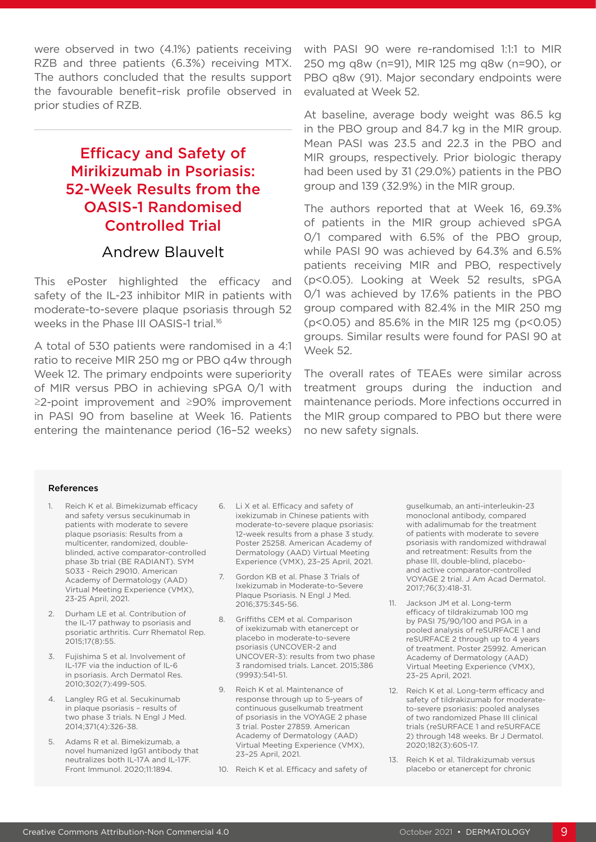were observed in two (4.1%) patients receiving RZB and three patients (6.3%) receiving MTX. The authors concluded that the results support the favourable benefit–risk profile observed in prior studies of RZB.

## Efficacy and Safety of Mirikizumab in Psoriasis: 52-Week Results from the OASIS-1 Randomised Controlled Trial

#### Andrew Blauvelt

This ePoster highlighted the efficacy and safety of the IL-23 inhibitor MIR in patients with moderate-to-severe plaque psoriasis through 52 weeks in the Phase III OASIS-1 trial.16

A total of 530 patients were randomised in a 4:1 ratio to receive MIR 250 mg or PBO q4w through Week 12. The primary endpoints were superiority of MIR versus PBO in achieving sPGA 0/1 with ≥2-point improvement and ≥90% improvement in PASI 90 from baseline at Week 16. Patients entering the maintenance period (16–52 weeks) with PASI 90 were re-randomised 1:1:1 to MIR 250 mg q8w (n=91), MIR 125 mg q8w (n=90), or PBO q8w (91). Major secondary endpoints were evaluated at Week 52.

At baseline, average body weight was 86.5 kg in the PBO group and 84.7 kg in the MIR group. Mean PASI was 23.5 and 22.3 in the PBO and MIR groups, respectively. Prior biologic therapy had been used by 31 (29.0%) patients in the PBO group and 139 (32.9%) in the MIR group.

The authors reported that at Week 16, 69.3% of patients in the MIR group achieved sPGA 0/1 compared with 6.5% of the PBO group, while PASI 90 was achieved by 64.3% and 6.5% patients receiving MIR and PBO, respectively (p<0.05). Looking at Week 52 results, sPGA 0/1 was achieved by 17.6% patients in the PBO group compared with 82.4% in the MIR 250 mg (p<0.05) and 85.6% in the MIR 125 mg (p<0.05) groups. Similar results were found for PASI 90 at Week 52.

The overall rates of TEAEs were similar across treatment groups during the induction and maintenance periods. More infections occurred in the MIR group compared to PBO but there were no new safety signals.

#### References

- 1. Reich K et al. Bimekizumab efficacy and safety versus secukinumab in patients with moderate to severe plaque psoriasis: Results from a multicenter, randomized, doubleblinded, active comparator-controlled phase 3b trial (BE RADIANT). SYM S033 - Reich 29010. American Academy of Dermatology (AAD) Virtual Meeting Experience (VMX), 23-25 April, 2021.
- 2. Durham LE et al. Contribution of the IL-17 pathway to psoriasis and psoriatic arthritis. Curr Rhematol Rep. 2015;17(8):55.
- 3. Fujishima S et al. Involvement of IL-17F via the induction of IL-6 in psoriasis. Arch Dermatol Res. 2010;302(7):499-505.
- 4. Langley RG et al. Secukinumab in plaque psoriasis – results of two phase 3 trials. N Engl J Med. 2014;371(4):326-38.
- 5. Adams R et al. Bimekizumab, a novel humanized IgG1 antibody that neutralizes both IL-17A and IL-17F. Front Immunol. 2020;11:1894.
- 6. Li X et al. Efficacy and safety of ixekizumab in Chinese patients with moderate-to-severe plaque psoriasis: 12-week results from a phase 3 study. Poster 25258. American Academy of Dermatology (AAD) Virtual Meeting Experience (VMX), 23–25 April, 2021.
- 7. Gordon KB et al. Phase 3 Trials of Ixekizumab in Moderate-to-Severe Plaque Psoriasis. N Engl J Med. 2016;375:345-56.
- 8. Griffiths CEM et al. Comparison of ixekizumab with etanercept or placebo in moderate-to-severe psoriasis (UNCOVER-2 and UNCOVER-3): results from two phase 3 randomised trials. Lancet. 2015;386 (9993):541-51.
- 9. Reich K et al. Maintenance of response through up to 5-years of continuous guselkumab treatment of psoriasis in the VOYAGE 2 phase 3 trial. Poster 27859. American Academy of Dermatology (AAD) Virtual Meeting Experience (VMX), 23–25 April, 2021.
- 10. Reich K et al. Efficacy and safety of

guselkumab, an anti-interleukin-23 monoclonal antibody, compared with adalimumab for the treatment of patients with moderate to severe psoriasis with randomized withdrawal and retreatment: Results from the phase III, double-blind, placeboand active comparator-controlled VOYAGE 2 trial. J Am Acad Dermatol. 2017;76(3):418-31.

- 11. Jackson JM et al. Long-term efficacy of tildrakizumab 100 mg by PASI 75/90/100 and PGA in a pooled analysis of reSURFACE 1 and reSURFACE 2 through up to 4 years of treatment. Poster 25992. American Academy of Dermatology (AAD) Virtual Meeting Experience (VMX), 23–25 April, 2021.
- 12. Reich K et al. Long-term efficacy and safety of tildrakizumab for moderateto-severe psoriasis: pooled analyses of two randomized Phase III clinical trials (reSURFACE 1 and reSURFACE 2) through 148 weeks. Br J Dermatol. 2020;182(3):605-17.
- 13. Reich K et al. Tildrakizumab versus placebo or etanercept for chronic